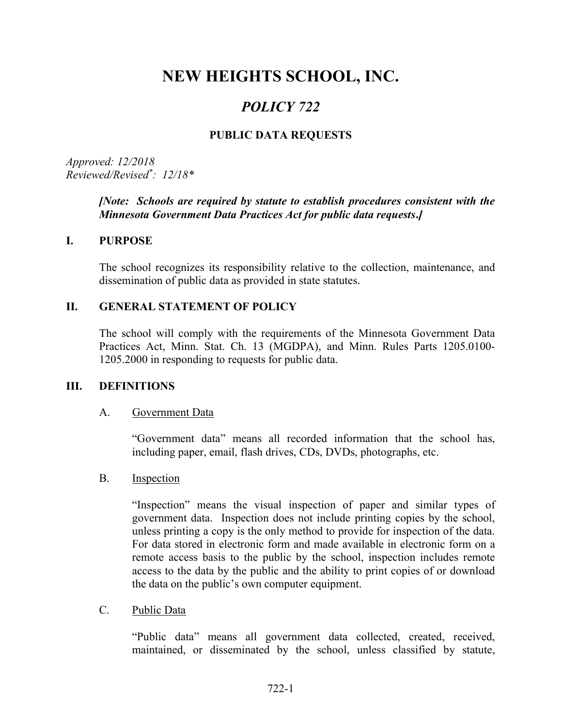# NEW HEIGHTS SCHOOL, INC.

## POLICY 722

## PUBLIC DATA REQUESTS

Approved: 12/2018 Reviewed/Revised\* : 12/18\*

#### [Note: Schools are required by statute to establish procedures consistent with the Minnesota Government Data Practices Act for public data requests.]

#### I. PURPOSE

The school recognizes its responsibility relative to the collection, maintenance, and dissemination of public data as provided in state statutes.

#### II. GENERAL STATEMENT OF POLICY

The school will comply with the requirements of the Minnesota Government Data Practices Act, Minn. Stat. Ch. 13 (MGDPA), and Minn. Rules Parts 1205.0100- 1205.2000 in responding to requests for public data.

#### III. DEFINITIONS

#### A. Government Data

"Government data" means all recorded information that the school has, including paper, email, flash drives, CDs, DVDs, photographs, etc.

#### B. Inspection

"Inspection" means the visual inspection of paper and similar types of government data. Inspection does not include printing copies by the school, unless printing a copy is the only method to provide for inspection of the data. For data stored in electronic form and made available in electronic form on a remote access basis to the public by the school, inspection includes remote access to the data by the public and the ability to print copies of or download the data on the public's own computer equipment.

#### C. Public Data

"Public data" means all government data collected, created, received, maintained, or disseminated by the school, unless classified by statute,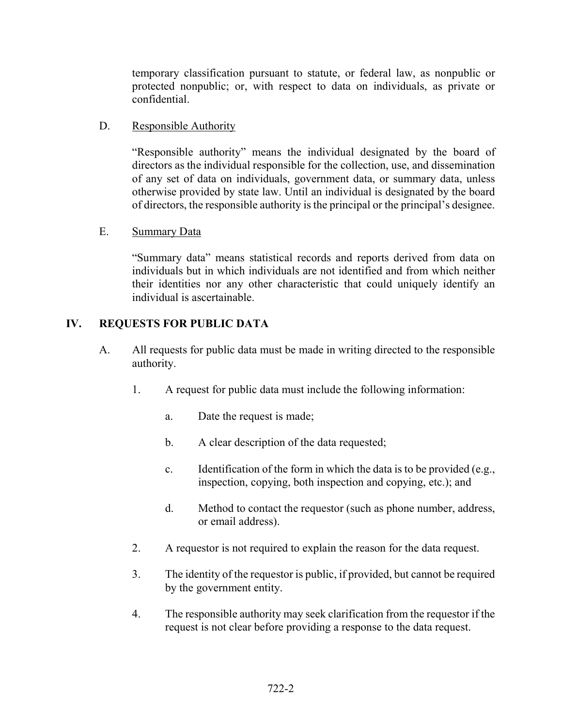temporary classification pursuant to statute, or federal law, as nonpublic or protected nonpublic; or, with respect to data on individuals, as private or confidential.

#### D. Responsible Authority

 "Responsible authority" means the individual designated by the board of directors as the individual responsible for the collection, use, and dissemination of any set of data on individuals, government data, or summary data, unless otherwise provided by state law. Until an individual is designated by the board of directors, the responsible authority is the principal or the principal's designee.

#### E. Summary Data

"Summary data" means statistical records and reports derived from data on individuals but in which individuals are not identified and from which neither their identities nor any other characteristic that could uniquely identify an individual is ascertainable.

## IV. REQUESTS FOR PUBLIC DATA

- A. All requests for public data must be made in writing directed to the responsible authority.
	- 1. A request for public data must include the following information:
		- a. Date the request is made;
		- b. A clear description of the data requested;
		- c. Identification of the form in which the data is to be provided (e.g., inspection, copying, both inspection and copying, etc.); and
		- d. Method to contact the requestor (such as phone number, address, or email address).
	- 2. A requestor is not required to explain the reason for the data request.
	- 3. The identity of the requestor is public, if provided, but cannot be required by the government entity.
	- 4. The responsible authority may seek clarification from the requestor if the request is not clear before providing a response to the data request.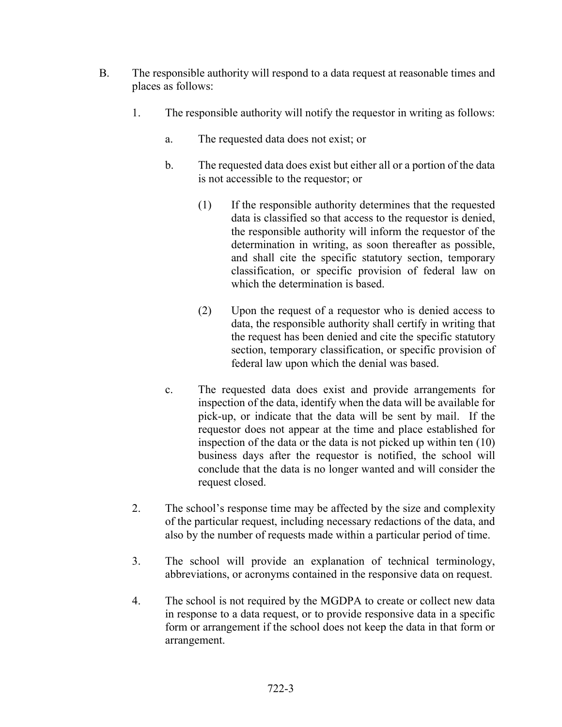- B. The responsible authority will respond to a data request at reasonable times and places as follows:
	- 1. The responsible authority will notify the requestor in writing as follows:
		- a. The requested data does not exist; or
		- b. The requested data does exist but either all or a portion of the data is not accessible to the requestor; or
			- (1) If the responsible authority determines that the requested data is classified so that access to the requestor is denied, the responsible authority will inform the requestor of the determination in writing, as soon thereafter as possible, and shall cite the specific statutory section, temporary classification, or specific provision of federal law on which the determination is based.
			- (2) Upon the request of a requestor who is denied access to data, the responsible authority shall certify in writing that the request has been denied and cite the specific statutory section, temporary classification, or specific provision of federal law upon which the denial was based.
		- c. The requested data does exist and provide arrangements for inspection of the data, identify when the data will be available for pick-up, or indicate that the data will be sent by mail. If the requestor does not appear at the time and place established for inspection of the data or the data is not picked up within ten (10) business days after the requestor is notified, the school will conclude that the data is no longer wanted and will consider the request closed.
	- 2. The school's response time may be affected by the size and complexity of the particular request, including necessary redactions of the data, and also by the number of requests made within a particular period of time.
	- 3. The school will provide an explanation of technical terminology, abbreviations, or acronyms contained in the responsive data on request.
	- 4. The school is not required by the MGDPA to create or collect new data in response to a data request, or to provide responsive data in a specific form or arrangement if the school does not keep the data in that form or arrangement.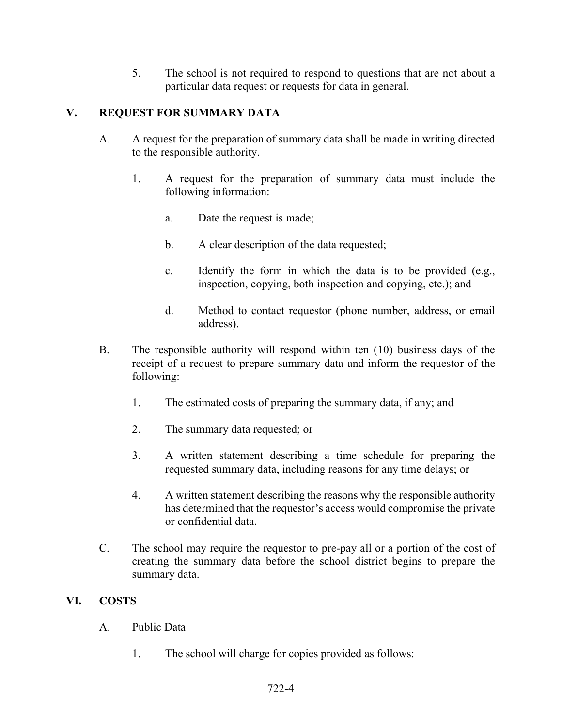5. The school is not required to respond to questions that are not about a particular data request or requests for data in general.

## V. REQUEST FOR SUMMARY DATA

- A. A request for the preparation of summary data shall be made in writing directed to the responsible authority.
	- 1. A request for the preparation of summary data must include the following information:
		- a. Date the request is made;
		- b. A clear description of the data requested;
		- c. Identify the form in which the data is to be provided (e.g., inspection, copying, both inspection and copying, etc.); and
		- d. Method to contact requestor (phone number, address, or email address).
- B. The responsible authority will respond within ten (10) business days of the receipt of a request to prepare summary data and inform the requestor of the following:
	- 1. The estimated costs of preparing the summary data, if any; and
	- 2. The summary data requested; or
	- 3. A written statement describing a time schedule for preparing the requested summary data, including reasons for any time delays; or
	- 4. A written statement describing the reasons why the responsible authority has determined that the requestor's access would compromise the private or confidential data.
- C. The school may require the requestor to pre-pay all or a portion of the cost of creating the summary data before the school district begins to prepare the summary data.

#### VI. COSTS

- A. Public Data
	- 1. The school will charge for copies provided as follows: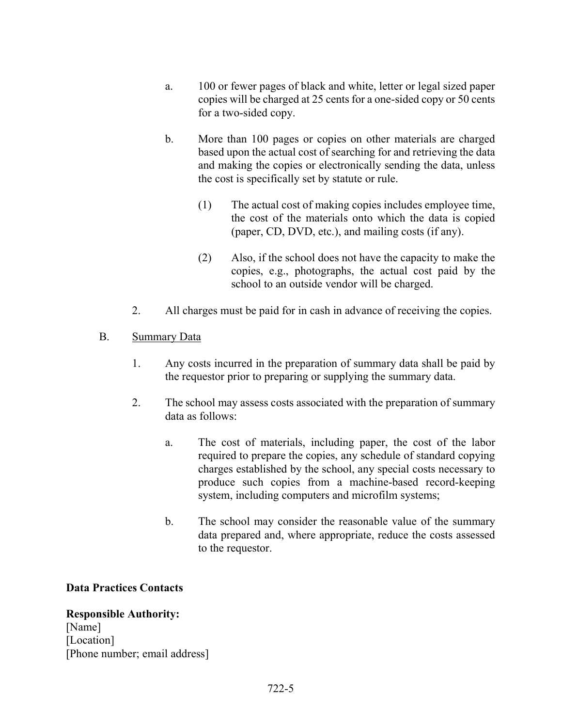- a. 100 or fewer pages of black and white, letter or legal sized paper copies will be charged at 25 cents for a one-sided copy or 50 cents for a two-sided copy.
- b. More than 100 pages or copies on other materials are charged based upon the actual cost of searching for and retrieving the data and making the copies or electronically sending the data, unless the cost is specifically set by statute or rule.
	- (1) The actual cost of making copies includes employee time, the cost of the materials onto which the data is copied (paper, CD, DVD, etc.), and mailing costs (if any).
	- (2) Also, if the school does not have the capacity to make the copies, e.g., photographs, the actual cost paid by the school to an outside vendor will be charged.
- 2. All charges must be paid for in cash in advance of receiving the copies.

## B. Summary Data

- 1. Any costs incurred in the preparation of summary data shall be paid by the requestor prior to preparing or supplying the summary data.
- 2. The school may assess costs associated with the preparation of summary data as follows:
	- a. The cost of materials, including paper, the cost of the labor required to prepare the copies, any schedule of standard copying charges established by the school, any special costs necessary to produce such copies from a machine-based record-keeping system, including computers and microfilm systems;
	- b. The school may consider the reasonable value of the summary data prepared and, where appropriate, reduce the costs assessed to the requestor.

## Data Practices Contacts

Responsible Authority: [Name] [Location] [Phone number; email address]